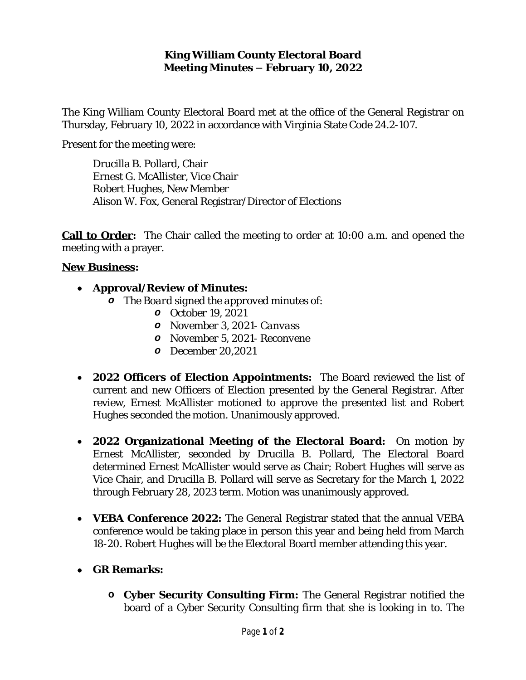### **King William County Electoral Board Meeting Minutes – February 10, 2022**

The King William County Electoral Board met at the office of the General Registrar on Thursday, February 10, 2022 in accordance with Virginia State Code 24.2-107.

Present for the meeting were:

Drucilla B. Pollard, Chair Ernest G. McAllister, Vice Chair Robert Hughes, New Member Alison W. Fox, General Registrar/Director of Elections

**Call to Order:** The Chair called the meeting to order at 10:00 a.m. and opened the meeting with a prayer.

#### **New Business:**

#### **Approval/Review of Minutes:**

- *o The Board signed the approved minutes of:*
	- *o October 19, 2021*
	- *o November 3, 2021- Canvass*
	- *o November 5, 2021- Reconvene*
	- *o December 20,2021*
- **2022 Officers of Election Appointments:** The Board reviewed the list of current and new Officers of Election presented by the General Registrar. After review, Ernest McAllister motioned to approve the presented list and Robert Hughes seconded the motion. Unanimously approved.
- **2022 Organizational Meeting of the Electoral Board:** On motion by Ernest McAllister, seconded by Drucilla B. Pollard, The Electoral Board determined Ernest McAllister would serve as Chair; Robert Hughes will serve as Vice Chair, and Drucilla B. Pollard will serve as Secretary for the March 1, 2022 through February 28, 2023 term. Motion was unanimously approved.
- **VEBA Conference 2022:** The General Registrar stated that the annual VEBA conference would be taking place in person this year and being held from March 18-20. Robert Hughes will be the Electoral Board member attending this year.
- **GR Remarks:**
	- **o Cyber Security Consulting Firm:** The General Registrar notified the board of a Cyber Security Consulting firm that she is looking in to. The